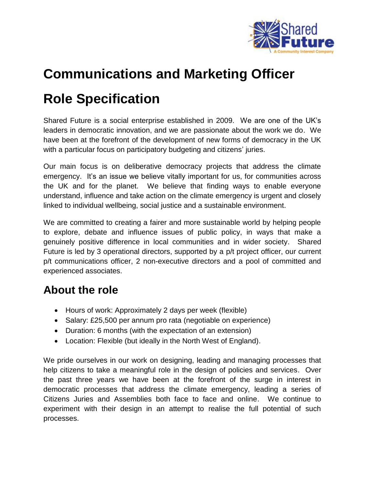

## **Communications and Marketing Officer**

# **Role Specification**

Shared Future is a social enterprise established in 2009. We are one of the UK's leaders in democratic innovation, and we are passionate about the work we do. We have been at the forefront of the development of new forms of democracy in the UK with a particular focus on participatory budgeting and citizens' juries.

Our main focus is on deliberative democracy projects that address the climate emergency. It's an issue we believe vitally important for us, for communities across the UK and for the planet. We believe that finding ways to enable everyone understand, influence and take action on the climate emergency is urgent and closely linked to individual wellbeing, social justice and a sustainable environment.

We are committed to creating a fairer and more sustainable world by helping people to explore, debate and influence issues of public policy, in ways that make a genuinely positive difference in local communities and in wider society. Shared Future is led by 3 operational directors, supported by a p/t project officer, our current p/t communications officer, 2 non-executive directors and a pool of committed and experienced associates.

### **About the role**

- Hours of work: Approximately 2 days per week (flexible)
- Salary: £25,500 per annum pro rata (negotiable on experience)
- Duration: 6 months (with the expectation of an extension)
- Location: Flexible (but ideally in the North West of England).

We pride ourselves in our work on designing, leading and managing processes that help citizens to take a meaningful role in the design of policies and services. Over the past three years we have been at the forefront of the surge in interest in democratic processes that address the climate emergency, leading a series of Citizens Juries and Assemblies both face to face and online. We continue to experiment with their design in an attempt to realise the full potential of such processes.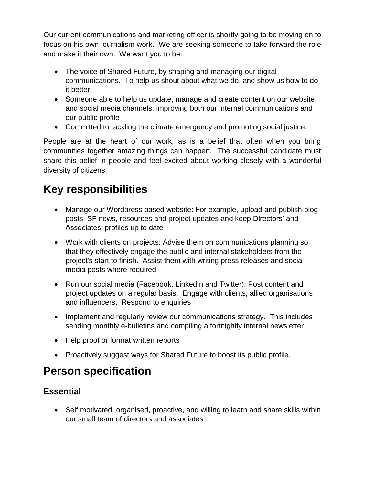Our current communications and marketing officer is shortly going to be moving on to focus on his own journalism work. We are seeking someone to take forward the role and make it their own. We want you to be:

- The voice of Shared Future, by shaping and managing our digital communications. To help us shout about what we do, and show us how to do it better
- Someone able to help us update, manage and create content on our website and social media channels, improving both our internal communications and our public profile
- Committed to tackling the climate emergency and promoting social justice.

People are at the heart of our work, as is a belief that often when you bring communities together amazing things can happen. The successful candidate must share this belief in people and feel excited about working closely with a wonderful diversity of citizens.

## **Key responsibilities**

- Manage our Wordpress based website: For example, upload and publish blog posts, SF news, resources and project updates and keep Directors' and Associates' profiles up to date
- Work with clients on projects: Advise them on communications planning so that they effectively engage the public and internal stakeholders from the project's start to finish. Assist them with writing press releases and social media posts where required
- Run our social media (Facebook, LinkedIn and Twitter): Post content and project updates on a regular basis. Engage with clients, allied organisations and influencers. Respond to enquiries
- Implement and regularly review our communications strategy. This includes sending monthly e-bulletins and compiling a fortnightly internal newsletter
- Help proof or format written reports
- Proactively suggest ways for Shared Future to boost its public profile.

### **Person specification**

### **Essential**

 Self motivated, organised, proactive, and willing to learn and share skills within our small team of directors and associates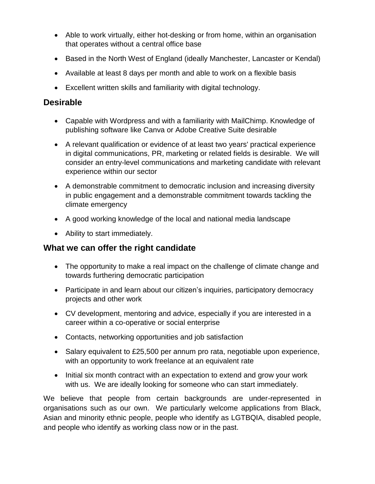- Able to work virtually, either hot-desking or from home, within an organisation that operates without a central office base
- Based in the North West of England (ideally Manchester, Lancaster or Kendal)
- Available at least 8 days per month and able to work on a flexible basis
- Excellent written skills and familiarity with digital technology.

#### **Desirable**

- Capable with Wordpress and with a familiarity with MailChimp. Knowledge of publishing software like Canva or Adobe Creative Suite desirable
- A relevant qualification or evidence of at least two years' practical experience in digital communications, PR, marketing or related fields is desirable. We will consider an entry-level communications and marketing candidate with relevant experience within our sector
- A demonstrable commitment to democratic inclusion and increasing diversity in public engagement and a demonstrable commitment towards tackling the climate emergency
- A good working knowledge of the local and national media landscape
- Ability to start immediately.

#### **What we can offer the right candidate**

- The opportunity to make a real impact on the challenge of climate change and towards furthering democratic participation
- Participate in and learn about our citizen's inquiries, participatory democracy projects and other work
- CV development, mentoring and advice, especially if you are interested in a career within a co-operative or social enterprise
- Contacts, networking opportunities and job satisfaction
- Salary equivalent to £25,500 per annum pro rata, negotiable upon experience, with an opportunity to work freelance at an equivalent rate
- Initial six month contract with an expectation to extend and grow your work with us. We are ideally looking for someone who can start immediately.

We believe that people from certain backgrounds are under-represented in organisations such as our own. We particularly welcome applications from Black, Asian and minority ethnic people, people who identify as LGTBQIA, disabled people, and people who identify as working class now or in the past.